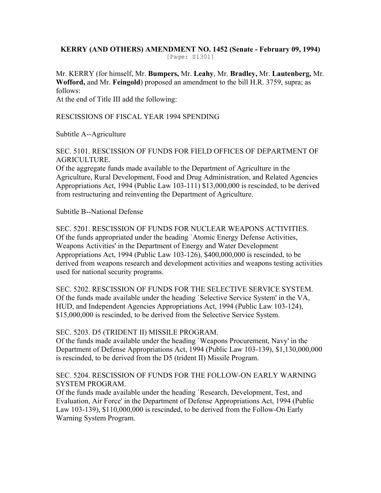#### **KERRY (AND OTHERS) AMENDMENT NO. 1452 (Senate - February 09, 1994)**  [Page: S1301]

Mr. KERRY (for himself, Mr. **Bumpers,** Mr. **Leahy**, Mr. **Bradley,** Mr. **Lautenberg,** Mr. **Wofford,** and Mr. **Feingold**) proposed an amendment to the bill H.R. 3759, supra; as follows:

At the end of Title III add the following:

RESCISSIONS OF FISCAL YEAR 1994 SPENDING

Subtitle A--Agriculture

SEC. 5101. RESCISSION OF FUNDS FOR FIELD OFFICES OF DEPARTMENT OF AGRICULTURE.

Of the aggregate funds made available to the Department of Agriculture in the Agriculture, Rural Development, Food and Drug Administration, and Related Agencies Appropriations Act, 1994 (Public Law 103-111) \$13,000,000 is rescinded, to be derived from restructuring and reinventing the Department of Agriculture.

Subtitle B--National Defense

SEC. 5201. RESCISSION OF FUNDS FOR NUCLEAR WEAPONS ACTIVITIES. Of the funds appropriated under the heading `Atomic Energy Defense Activities, Weapons Activities' in the Department of Energy and Water Development Appropriations Act, 1994 (Public Law 103-126), \$400,000,000 is rescinded, to be derived from weapons research and development activities and weapons testing activities used for national security programs.

SEC. 5202. RESCISSION OF FUNDS FOR THE SELECTIVE SERVICE SYSTEM. Of the funds made available under the heading `Selective Service System' in the VA, HUD, and Independent Agencies Appropriations Act, 1994 (Public Law 103-124), \$15,000,000 is rescinded, to be derived from the Selective Service System.

#### SEC. 5203. D5 (TRIDENT II) MISSILE PROGRAM.

Of the funds made available under the heading `Weapons Procurement, Navy' in the Department of Defense Appropriations Act, 1994 (Public Law 103-139), \$1,130,000,000 is rescinded, to be derived from the D5 (trident II) Missile Program.

## SEC. 5204. RESCISSION OF FUNDS FOR THE FOLLOW-ON EARLY WARNING SYSTEM PROGRAM.

Of the funds made available under the heading `Research, Development, Test, and Evaluation, Air Force' in the Department of Defense Appropriations Act, 1994 (Public Law 103-139), \$110,000,000 is rescinded, to be derived from the Follow-On Early Warning System Program.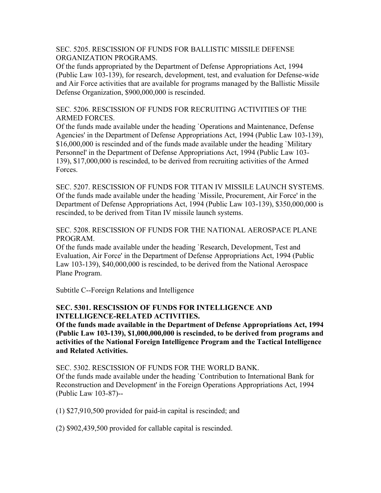SEC. 5205. RESCISSION OF FUNDS FOR BALLISTIC MISSILE DEFENSE ORGANIZATION PROGRAMS.

Of the funds appropriated by the Department of Defense Appropriations Act, 1994 (Public Law 103-139), for research, development, test, and evaluation for Defense-wide and Air Force activities that are available for programs managed by the Ballistic Missile Defense Organization, \$900,000,000 is rescinded.

SEC. 5206. RESCISSION OF FUNDS FOR RECRUITING ACTIVITIES OF THE ARMED FORCES.

Of the funds made available under the heading `Operations and Maintenance, Defense Agencies' in the Department of Defense Appropriations Act, 1994 (Public Law 103-139), \$16,000,000 is rescinded and of the funds made available under the heading `Military Personnel' in the Department of Defense Appropriations Act, 1994 (Public Law 103- 139), \$17,000,000 is rescinded, to be derived from recruiting activities of the Armed Forces.

SEC. 5207. RESCISSION OF FUNDS FOR TITAN IV MISSILE LAUNCH SYSTEMS. Of the funds made available under the heading `Missile, Procurement, Air Force' in the Department of Defense Appropriations Act, 1994 (Public Law 103-139), \$350,000,000 is rescinded, to be derived from Titan IV missile launch systems.

SEC. 5208. RESCISSION OF FUNDS FOR THE NATIONAL AEROSPACE PLANE PROGRAM.

Of the funds made available under the heading `Research, Development, Test and Evaluation, Air Force' in the Department of Defense Appropriations Act, 1994 (Public Law 103-139), \$40,000,000 is rescinded, to be derived from the National Aerospace Plane Program.

Subtitle C--Foreign Relations and Intelligence

# **SEC. 5301. RESCISSION OF FUNDS FOR INTELLIGENCE AND INTELLIGENCE-RELATED ACTIVITIES.**

**Of the funds made available in the Department of Defense Appropriations Act, 1994 (Public Law 103-139), \$1,000,000,000 is rescinded, to be derived from programs and activities of the National Foreign Intelligence Program and the Tactical Intelligence and Related Activities.** 

SEC. 5302. RESCISSION OF FUNDS FOR THE WORLD BANK. Of the funds made available under the heading `Contribution to International Bank for Reconstruction and Development' in the Foreign Operations Appropriations Act, 1994 (Public Law 103-87)--

(1) \$27,910,500 provided for paid-in capital is rescinded; and

(2) \$902,439,500 provided for callable capital is rescinded.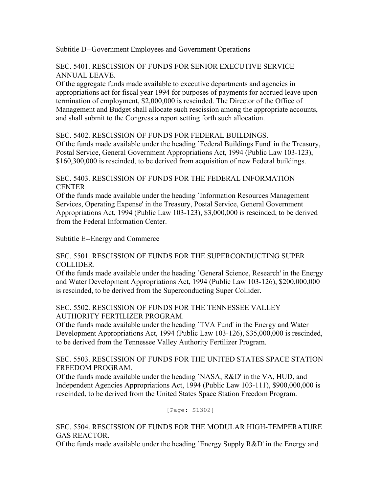Subtitle D--Government Employees and Government Operations

#### SEC. 5401. RESCISSION OF FUNDS FOR SENIOR EXECUTIVE SERVICE ANNUAL LEAVE.

Of the aggregate funds made available to executive departments and agencies in appropriations act for fiscal year 1994 for purposes of payments for accrued leave upon termination of employment, \$2,000,000 is rescinded. The Director of the Office of Management and Budget shall allocate such rescission among the appropriate accounts, and shall submit to the Congress a report setting forth such allocation.

## SEC. 5402. RESCISSION OF FUNDS FOR FEDERAL BUILDINGS.

Of the funds made available under the heading `Federal Buildings Fund' in the Treasury, Postal Service, General Government Appropriations Act, 1994 (Public Law 103-123), \$160,300,000 is rescinded, to be derived from acquisition of new Federal buildings.

## SEC. 5403. RESCISSION OF FUNDS FOR THE FEDERAL INFORMATION CENTER.

Of the funds made available under the heading `Information Resources Management Services, Operating Expense' in the Treasury, Postal Service, General Government Appropriations Act, 1994 (Public Law 103-123), \$3,000,000 is rescinded, to be derived from the Federal Information Center.

Subtitle E--Energy and Commerce

#### SEC. 5501. RESCISSION OF FUNDS FOR THE SUPERCONDUCTING SUPER COLLIDER.

Of the funds made available under the heading `General Science, Research' in the Energy and Water Development Appropriations Act, 1994 (Public Law 103-126), \$200,000,000 is rescinded, to be derived from the Superconducting Super Collider.

## SEC. 5502. RESCISSION OF FUNDS FOR THE TENNESSEE VALLEY AUTHORITY FERTILIZER PROGRAM.

Of the funds made available under the heading `TVA Fund' in the Energy and Water Development Appropriations Act, 1994 (Public Law 103-126), \$35,000,000 is rescinded, to be derived from the Tennessee Valley Authority Fertilizer Program.

## SEC. 5503. RESCISSION OF FUNDS FOR THE UNITED STATES SPACE STATION FREEDOM PROGRAM.

Of the funds made available under the heading `NASA, R&D' in the VA, HUD, and Independent Agencies Appropriations Act, 1994 (Public Law 103-111), \$900,000,000 is rescinded, to be derived from the United States Space Station Freedom Program.

[Page: S1302]

## SEC. 5504. RESCISSION OF FUNDS FOR THE MODULAR HIGH-TEMPERATURE GAS REACTOR.

Of the funds made available under the heading `Energy Supply R&D' in the Energy and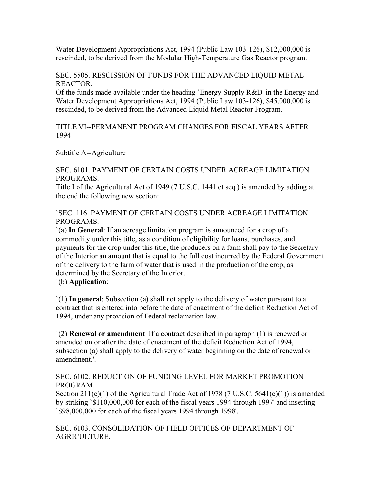Water Development Appropriations Act, 1994 (Public Law 103-126), \$12,000,000 is rescinded, to be derived from the Modular High-Temperature Gas Reactor program.

SEC. 5505. RESCISSION OF FUNDS FOR THE ADVANCED LIQUID METAL REACTOR.

Of the funds made available under the heading `Energy Supply R&D' in the Energy and Water Development Appropriations Act, 1994 (Public Law 103-126), \$45,000,000 is rescinded, to be derived from the Advanced Liquid Metal Reactor Program.

TITLE VI--PERMANENT PROGRAM CHANGES FOR FISCAL YEARS AFTER 1994

Subtitle A--Agriculture

SEC. 6101. PAYMENT OF CERTAIN COSTS UNDER ACREAGE LIMITATION PROGRAMS.

Title I of the Agricultural Act of 1949 (7 U.S.C. 1441 et seq.) is amended by adding at the end the following new section:

`SEC. 116. PAYMENT OF CERTAIN COSTS UNDER ACREAGE LIMITATION PROGRAMS.

`(a) **In General**: If an acreage limitation program is announced for a crop of a commodity under this title, as a condition of eligibility for loans, purchases, and payments for the crop under this title, the producers on a farm shall pay to the Secretary of the Interior an amount that is equal to the full cost incurred by the Federal Government of the delivery to the farm of water that is used in the production of the crop, as determined by the Secretary of the Interior.

`(b) **Application**:

`(1) **In general**: Subsection (a) shall not apply to the delivery of water pursuant to a contract that is entered into before the date of enactment of the deficit Reduction Act of 1994, under any provision of Federal reclamation law.

`(2) **Renewal or amendment**: If a contract described in paragraph (1) is renewed or amended on or after the date of enactment of the deficit Reduction Act of 1994, subsection (a) shall apply to the delivery of water beginning on the date of renewal or amendment.'.

SEC. 6102. REDUCTION OF FUNDING LEVEL FOR MARKET PROMOTION PROGRAM.

Section  $211(c)(1)$  of the Agricultural Trade Act of 1978 (7 U.S.C. 5641(c)(1)) is amended by striking `\$110,000,000 for each of the fiscal years 1994 through 1997' and inserting `\$98,000,000 for each of the fiscal years 1994 through 1998'.

SEC. 6103. CONSOLIDATION OF FIELD OFFICES OF DEPARTMENT OF AGRICULTURE.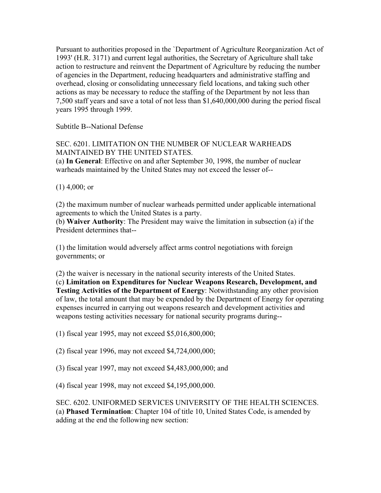Pursuant to authorities proposed in the `Department of Agriculture Reorganization Act of 1993' (H.R. 3171) and current legal authorities, the Secretary of Agriculture shall take action to restructure and reinvent the Department of Agriculture by reducing the number of agencies in the Department, reducing headquarters and administrative staffing and overhead, closing or consolidating unnecessary field locations, and taking such other actions as may be necessary to reduce the staffing of the Department by not less than 7,500 staff years and save a total of not less than \$1,640,000,000 during the period fiscal years 1995 through 1999.

Subtitle B--National Defense

SEC. 6201. LIMITATION ON THE NUMBER OF NUCLEAR WARHEADS MAINTAINED BY THE UNITED STATES.

(a) **In General**: Effective on and after September 30, 1998, the number of nuclear warheads maintained by the United States may not exceed the lesser of--

 $(1)$  4,000; or

(2) the maximum number of nuclear warheads permitted under applicable international agreements to which the United States is a party.

(b) **Waiver Authority**: The President may waive the limitation in subsection (a) if the President determines that--

(1) the limitation would adversely affect arms control negotiations with foreign governments; or

(2) the waiver is necessary in the national security interests of the United States. (c) **Limitation on Expenditures for Nuclear Weapons Research, Development, and Testing Activities of the Department of Energy**: Notwithstanding any other provision of law, the total amount that may be expended by the Department of Energy for operating expenses incurred in carrying out weapons research and development activities and weapons testing activities necessary for national security programs during--

(1) fiscal year 1995, may not exceed \$5,016,800,000;

(2) fiscal year 1996, may not exceed \$4,724,000,000;

(3) fiscal year 1997, may not exceed \$4,483,000,000; and

(4) fiscal year 1998, may not exceed \$4,195,000,000.

SEC. 6202. UNIFORMED SERVICES UNIVERSITY OF THE HEALTH SCIENCES. (a) **Phased Termination**: Chapter 104 of title 10, United States Code, is amended by adding at the end the following new section: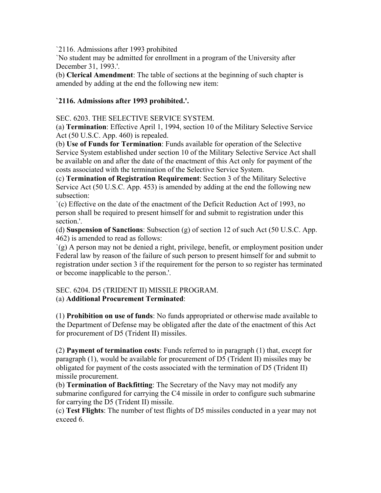`2116. Admissions after 1993 prohibited

`No student may be admitted for enrollment in a program of the University after December 31, 1993.'.

(b) **Clerical Amendment**: The table of sections at the beginning of such chapter is amended by adding at the end the following new item:

# **`2116. Admissions after 1993 prohibited.'.**

SEC. 6203. THE SELECTIVE SERVICE SYSTEM.

(a) **Termination**: Effective April 1, 1994, section 10 of the Military Selective Service Act (50 U.S.C. App. 460) is repealed.

(b) **Use of Funds for Termination**: Funds available for operation of the Selective Service System established under section 10 of the Military Selective Service Act shall be available on and after the date of the enactment of this Act only for payment of the costs associated with the termination of the Selective Service System.

(c) **Termination of Registration Requirement**: Section 3 of the Military Selective Service Act (50 U.S.C. App. 453) is amended by adding at the end the following new subsection:

`(c) Effective on the date of the enactment of the Deficit Reduction Act of 1993, no person shall be required to present himself for and submit to registration under this section.'.

(d) **Suspension of Sanctions**: Subsection (g) of section 12 of such Act (50 U.S.C. App. 462) is amended to read as follows:

`(g) A person may not be denied a right, privilege, benefit, or employment position under Federal law by reason of the failure of such person to present himself for and submit to registration under section 3 if the requirement for the person to so register has terminated or become inapplicable to the person.'.

# SEC. 6204. D5 (TRIDENT II) MISSILE PROGRAM. (a) **Additional Procurement Terminated**:

(1) **Prohibition on use of funds**: No funds appropriated or otherwise made available to the Department of Defense may be obligated after the date of the enactment of this Act for procurement of D5 (Trident II) missiles.

(2) **Payment of termination costs**: Funds referred to in paragraph (1) that, except for paragraph (1), would be available for procurement of D5 (Trident II) missiles may be obligated for payment of the costs associated with the termination of D5 (Trident II) missile procurement.

(b) **Termination of Backfitting**: The Secretary of the Navy may not modify any submarine configured for carrying the C4 missile in order to configure such submarine for carrying the D5 (Trident II) missile.

(c) **Test Flights**: The number of test flights of D5 missiles conducted in a year may not exceed 6.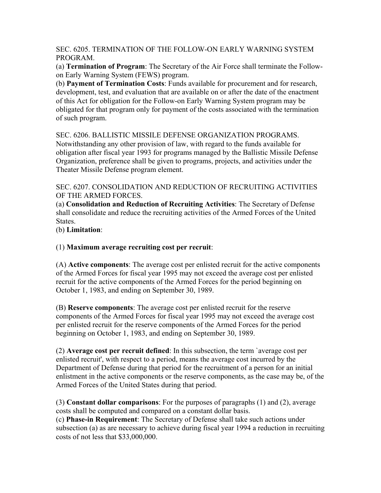SEC. 6205. TERMINATION OF THE FOLLOW-ON EARLY WARNING SYSTEM PROGRAM.

(a) **Termination of Program**: The Secretary of the Air Force shall terminate the Followon Early Warning System (FEWS) program.

(b) **Payment of Termination Costs**: Funds available for procurement and for research, development, test, and evaluation that are available on or after the date of the enactment of this Act for obligation for the Follow-on Early Warning System program may be obligated for that program only for payment of the costs associated with the termination of such program.

SEC. 6206. BALLISTIC MISSILE DEFENSE ORGANIZATION PROGRAMS. Notwithstanding any other provision of law, with regard to the funds available for obligation after fiscal year 1993 for programs managed by the Ballistic Missile Defense Organization, preference shall be given to programs, projects, and activities under the Theater Missile Defense program element.

SEC. 6207. CONSOLIDATION AND REDUCTION OF RECRUITING ACTIVITIES OF THE ARMED FORCES.

(a) **Consolidation and Reduction of Recruiting Activities**: The Secretary of Defense shall consolidate and reduce the recruiting activities of the Armed Forces of the United States.

(b) **Limitation**:

(1) **Maximum average recruiting cost per recruit**:

(A) **Active components**: The average cost per enlisted recruit for the active components of the Armed Forces for fiscal year 1995 may not exceed the average cost per enlisted recruit for the active components of the Armed Forces for the period beginning on October 1, 1983, and ending on September 30, 1989.

(B) **Reserve components**: The average cost per enlisted recruit for the reserve components of the Armed Forces for fiscal year 1995 may not exceed the average cost per enlisted recruit for the reserve components of the Armed Forces for the period beginning on October 1, 1983, and ending on September 30, 1989.

(2) **Average cost per recruit defined**: In this subsection, the term `average cost per enlisted recruit', with respect to a period, means the average cost incurred by the Department of Defense during that period for the recruitment of a person for an initial enlistment in the active components or the reserve components, as the case may be, of the Armed Forces of the United States during that period.

(3) **Constant dollar comparisons**: For the purposes of paragraphs (1) and (2), average costs shall be computed and compared on a constant dollar basis.

(c) **Phase-in Requirement**: The Secretary of Defense shall take such actions under subsection (a) as are necessary to achieve during fiscal year 1994 a reduction in recruiting costs of not less that \$33,000,000.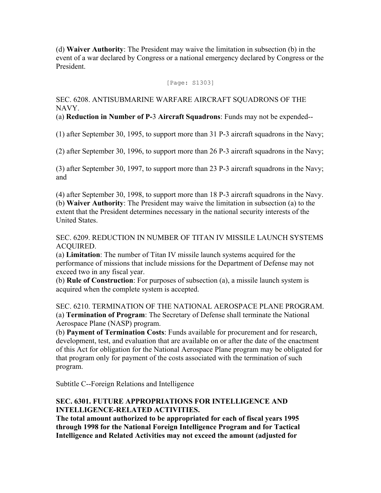(d) **Waiver Authority**: The President may waive the limitation in subsection (b) in the event of a war declared by Congress or a national emergency declared by Congress or the President.

[Page: S1303]

SEC. 6208. ANTISUBMARINE WARFARE AIRCRAFT SQUADRONS OF THE NAVY.

(a) **Reduction in Number of P-**3 **Aircraft Squadrons**: Funds may not be expended--

(1) after September 30, 1995, to support more than 31 P-3 aircraft squadrons in the Navy;

(2) after September 30, 1996, to support more than 26 P-3 aircraft squadrons in the Navy;

(3) after September 30, 1997, to support more than 23 P-3 aircraft squadrons in the Navy; and

(4) after September 30, 1998, to support more than 18 P-3 aircraft squadrons in the Navy. (b) **Waiver Authority**: The President may waive the limitation in subsection (a) to the extent that the President determines necessary in the national security interests of the United States.

SEC. 6209. REDUCTION IN NUMBER OF TITAN IV MISSILE LAUNCH SYSTEMS ACQUIRED.

(a) **Limitation**: The number of Titan IV missile launch systems acquired for the performance of missions that include missions for the Department of Defense may not exceed two in any fiscal year.

(b) **Rule of Construction**: For purposes of subsection (a), a missile launch system is acquired when the complete system is accepted.

SEC. 6210. TERMINATION OF THE NATIONAL AEROSPACE PLANE PROGRAM. (a) **Termination of Program**: The Secretary of Defense shall terminate the National Aerospace Plane (NASP) program.

(b) **Payment of Termination Costs**: Funds available for procurement and for research, development, test, and evaluation that are available on or after the date of the enactment of this Act for obligation for the National Aerospace Plane program may be obligated for that program only for payment of the costs associated with the termination of such program.

Subtitle C--Foreign Relations and Intelligence

# **SEC. 6301. FUTURE APPROPRIATIONS FOR INTELLIGENCE AND INTELLIGENCE-RELATED ACTIVITIES.**

**The total amount authorized to be appropriated for each of fiscal years 1995 through 1998 for the National Foreign Intelligence Program and for Tactical Intelligence and Related Activities may not exceed the amount (adjusted for**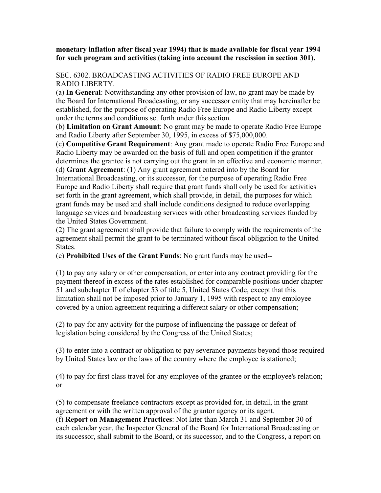#### **monetary inflation after fiscal year 1994) that is made available for fiscal year 1994 for such program and activities (taking into account the rescission in section 301).**

## SEC. 6302. BROADCASTING ACTIVITIES OF RADIO FREE EUROPE AND RADIO LIBERTY.

(a) **In General**: Notwithstanding any other provision of law, no grant may be made by the Board for International Broadcasting, or any successor entity that may hereinafter be established, for the purpose of operating Radio Free Europe and Radio Liberty except under the terms and conditions set forth under this section.

(b) **Limitation on Grant Amount**: No grant may be made to operate Radio Free Europe and Radio Liberty after September 30, 1995, in excess of \$75,000,000.

(c) **Competitive Grant Requirement**: Any grant made to operate Radio Free Europe and Radio Liberty may be awarded on the basis of full and open competition if the grantor determines the grantee is not carrying out the grant in an effective and economic manner.

(d) **Grant Agreement**: (1) Any grant agreement entered into by the Board for International Broadcasting, or its successor, for the purpose of operating Radio Free Europe and Radio Liberty shall require that grant funds shall only be used for activities set forth in the grant agreement, which shall provide, in detail, the purposes for which grant funds may be used and shall include conditions designed to reduce overlapping language services and broadcasting services with other broadcasting services funded by the United States Government.

(2) The grant agreement shall provide that failure to comply with the requirements of the agreement shall permit the grant to be terminated without fiscal obligation to the United States.

(e) **Prohibited Uses of the Grant Funds**: No grant funds may be used--

(1) to pay any salary or other compensation, or enter into any contract providing for the payment thereof in excess of the rates established for comparable positions under chapter 51 and subchapter II of chapter 53 of title 5, United States Code, except that this limitation shall not be imposed prior to January 1, 1995 with respect to any employee covered by a union agreement requiring a different salary or other compensation;

(2) to pay for any activity for the purpose of influencing the passage or defeat of legislation being considered by the Congress of the United States;

(3) to enter into a contract or obligation to pay severance payments beyond those required by United States law or the laws of the country where the employee is stationed;

(4) to pay for first class travel for any employee of the grantee or the employee's relation; or

(5) to compensate freelance contractors except as provided for, in detail, in the grant agreement or with the written approval of the grantor agency or its agent.

(f) **Report on Management Practices**: Not later than March 31 and September 30 of each calendar year, the Inspector General of the Board for International Broadcasting or its successor, shall submit to the Board, or its successor, and to the Congress, a report on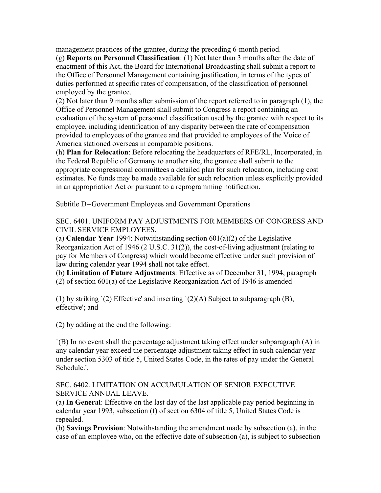management practices of the grantee, during the preceding 6-month period. (g) **Reports on Personnel Classification**: (1) Not later than 3 months after the date of enactment of this Act, the Board for International Broadcasting shall submit a report to the Office of Personnel Management containing justification, in terms of the types of duties performed at specific rates of compensation, of the classification of personnel employed by the grantee.

(2) Not later than 9 months after submission of the report referred to in paragraph (1), the Office of Personnel Management shall submit to Congress a report containing an evaluation of the system of personnel classification used by the grantee with respect to its employee, including identification of any disparity between the rate of compensation provided to employees of the grantee and that provided to employees of the Voice of America stationed overseas in comparable positions.

(h) **Plan for Relocation**: Before relocating the headquarters of RFE/RL, Incorporated, in the Federal Republic of Germany to another site, the grantee shall submit to the appropriate congressional committees a detailed plan for such relocation, including cost estimates. No funds may be made available for such relocation unless explicitly provided in an appropriation Act or pursuant to a reprogramming notification.

Subtitle D--Government Employees and Government Operations

SEC. 6401. UNIFORM PAY ADJUSTMENTS FOR MEMBERS OF CONGRESS AND CIVIL SERVICE EMPLOYEES.

(a) **Calendar Year** 1994: Notwithstanding section 601(a)(2) of the Legislative Reorganization Act of 1946 (2 U.S.C. 31(2)), the cost-of-living adjustment (relating to pay for Members of Congress) which would become effective under such provision of law during calendar year 1994 shall not take effect.

(b) **Limitation of Future Adjustments**: Effective as of December 31, 1994, paragraph (2) of section 601(a) of the Legislative Reorganization Act of 1946 is amended--

(1) by striking `(2) Effective' and inserting `(2)(A) Subject to subparagraph (B), effective'; and

(2) by adding at the end the following:

`(B) In no event shall the percentage adjustment taking effect under subparagraph (A) in any calendar year exceed the percentage adjustment taking effect in such calendar year under section 5303 of title 5, United States Code, in the rates of pay under the General Schedule.'.

SEC. 6402. LIMITATION ON ACCUMULATION OF SENIOR EXECUTIVE SERVICE ANNUAL LEAVE.

(a) **In General**: Effective on the last day of the last applicable pay period beginning in calendar year 1993, subsection (f) of section 6304 of title 5, United States Code is repealed.

(b) **Savings Provision**: Notwithstanding the amendment made by subsection (a), in the case of an employee who, on the effective date of subsection (a), is subject to subsection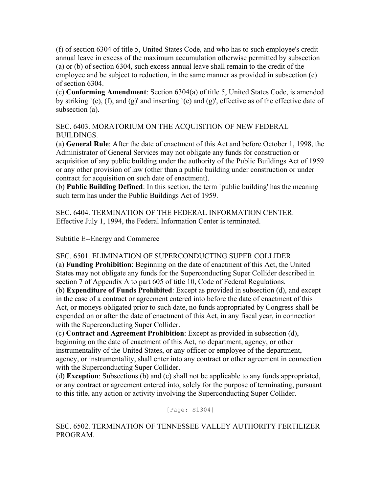(f) of section 6304 of title 5, United States Code, and who has to such employee's credit annual leave in excess of the maximum accumulation otherwise permitted by subsection (a) or (b) of section 6304, such excess annual leave shall remain to the credit of the employee and be subject to reduction, in the same manner as provided in subsection (c) of section 6304.

(c) **Conforming Amendment**: Section 6304(a) of title 5, United States Code, is amended by striking `(e), (f), and (g)' and inserting `(e) and (g)', effective as of the effective date of subsection (a).

SEC. 6403. MORATORIUM ON THE ACQUISITION OF NEW FEDERAL BUILDINGS.

(a) **General Rule**: After the date of enactment of this Act and before October 1, 1998, the Administrator of General Services may not obligate any funds for construction or acquisition of any public building under the authority of the Public Buildings Act of 1959 or any other provision of law (other than a public building under construction or under contract for acquisition on such date of enactment).

(b) **Public Building Defined**: In this section, the term `public building' has the meaning such term has under the Public Buildings Act of 1959.

SEC. 6404. TERMINATION OF THE FEDERAL INFORMATION CENTER. Effective July 1, 1994, the Federal Information Center is terminated.

Subtitle E--Energy and Commerce

SEC. 6501. ELIMINATION OF SUPERCONDUCTING SUPER COLLIDER.

(a) **Funding Prohibition**: Beginning on the date of enactment of this Act, the United States may not obligate any funds for the Superconducting Super Collider described in section 7 of Appendix A to part 605 of title 10, Code of Federal Regulations.

(b) **Expenditure of Funds Prohibited**: Except as provided in subsection (d), and except in the case of a contract or agreement entered into before the date of enactment of this Act, or moneys obligated prior to such date, no funds appropriated by Congress shall be expended on or after the date of enactment of this Act, in any fiscal year, in connection with the Superconducting Super Collider.

(c) **Contract and Agreement Prohibition**: Except as provided in subsection (d), beginning on the date of enactment of this Act, no department, agency, or other instrumentality of the United States, or any officer or employee of the department, agency, or instrumentality, shall enter into any contract or other agreement in connection with the Superconducting Super Collider.

(d) **Exception**: Subsections (b) and (c) shall not be applicable to any funds appropriated, or any contract or agreement entered into, solely for the purpose of terminating, pursuant to this title, any action or activity involving the Superconducting Super Collider.

[Page: S1304]

SEC. 6502. TERMINATION OF TENNESSEE VALLEY AUTHORITY FERTILIZER PROGRAM.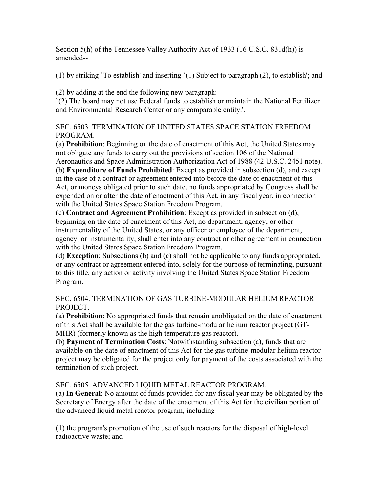Section 5(h) of the Tennessee Valley Authority Act of 1933 (16 U.S.C. 831d(h)) is amended--

(1) by striking `To establish' and inserting `(1) Subject to paragraph (2), to establish'; and

(2) by adding at the end the following new paragraph:

`(2) The board may not use Federal funds to establish or maintain the National Fertilizer and Environmental Research Center or any comparable entity.'.

SEC. 6503. TERMINATION OF UNITED STATES SPACE STATION FREEDOM PROGRAM.

(a) **Prohibition**: Beginning on the date of enactment of this Act, the United States may not obligate any funds to carry out the provisions of section 106 of the National Aeronautics and Space Administration Authorization Act of 1988 (42 U.S.C. 2451 note). (b) **Expenditure of Funds Prohibited**: Except as provided in subsection (d), and except in the case of a contract or agreement entered into before the date of enactment of this Act, or moneys obligated prior to such date, no funds appropriated by Congress shall be expended on or after the date of enactment of this Act, in any fiscal year, in connection with the United States Space Station Freedom Program.

(c) **Contract and Agreement Prohibition**: Except as provided in subsection (d), beginning on the date of enactment of this Act, no department, agency, or other instrumentality of the United States, or any officer or employee of the department, agency, or instrumentality, shall enter into any contract or other agreement in connection with the United States Space Station Freedom Program.

(d) **Exception**: Subsections (b) and (c) shall not be applicable to any funds appropriated, or any contract or agreement entered into, solely for the purpose of terminating, pursuant to this title, any action or activity involving the United States Space Station Freedom Program.

SEC. 6504. TERMINATION OF GAS TURBINE-MODULAR HELIUM REACTOR PROJECT.

(a) **Prohibition**: No appropriated funds that remain unobligated on the date of enactment of this Act shall be available for the gas turbine-modular helium reactor project (GT-MHR) (formerly known as the high temperature gas reactor).

(b) **Payment of Termination Costs**: Notwithstanding subsection (a), funds that are available on the date of enactment of this Act for the gas turbine-modular helium reactor project may be obligated for the project only for payment of the costs associated with the termination of such project.

SEC. 6505. ADVANCED LIQUID METAL REACTOR PROGRAM.

(a) **In General**: No amount of funds provided for any fiscal year may be obligated by the Secretary of Energy after the date of the enactment of this Act for the civilian portion of the advanced liquid metal reactor program, including--

(1) the program's promotion of the use of such reactors for the disposal of high-level radioactive waste; and